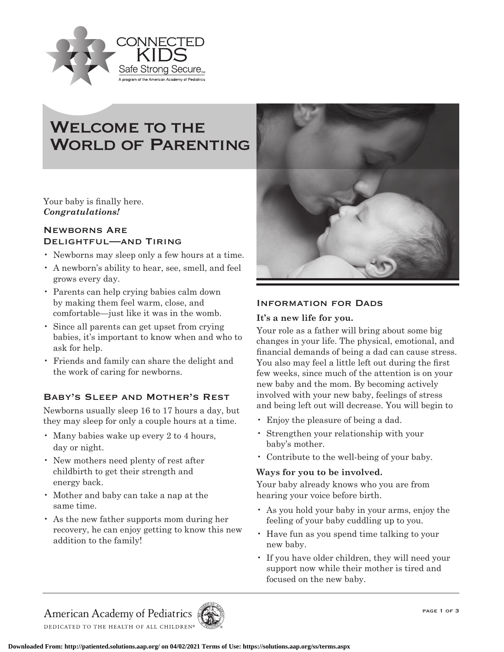

# WELCOME TO THE WORLD OF PARENTING

Your baby is finally here. *Congratulations!*

# Newborns Are Delightful—and Tiring

- Newborns may sleep only a few hours at a time.
- A newborn's ability to hear, see, smell, and feel grows every day.
- Parents can help crying babies calm down by making them feel warm, close, and comfortable—just like it was in the womb.
- Since all parents can get upset from crying babies, it's important to know when and who to ask for help.
- Friends and family can share the delight and the work of caring for newborns.

# Baby's Sleep and Mother's Rest

Newborns usually sleep 16 to 17 hours a day, but they may sleep for only a couple hours at a time.

- Many babies wake up every 2 to 4 hours, day or night.
- New mothers need plenty of rest after childbirth to get their strength and energy back.
- Mother and baby can take a nap at the same time.
- As the new father supports mom during her recovery, he can enjoy getting to know this new addition to the family!



# INFORMATION FOR DADS

# **It's a new life for you.**

Your role as a father will bring about some big changes in your life. The physical, emotional, and financial demands of being a dad can cause stress. You also may feel a little left out during the first few weeks, since much of the attention is on your new baby and the mom. By becoming actively involved with your new baby, feelings of stress and being left out will decrease. You will begin to

- Enjoy the pleasure of being a dad.
- Strengthen your relationship with your baby's mother.
- Contribute to the well-being of your baby.

# **Ways for you to be involved.**

Your baby already knows who you are from hearing your voice before birth.

- As you hold your baby in your arms, enjoy the feeling of your baby cuddling up to you.
- Have fun as you spend time talking to your new baby.
- If you have older children, they will need your support now while their mother is tired and focused on the new baby.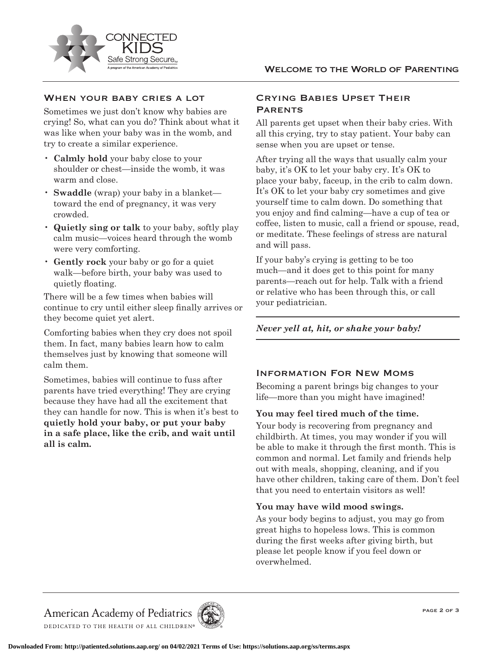



# WHEN YOUR BABY CRIES A LOT

Sometimes we just don't know why babies are crying! So, what can you do? Think about what it was like when your baby was in the womb, and try to create a similar experience.

- **Calmly hold** your baby close to your shoulder or chest—inside the womb, it was warm and close.
- **Swaddle** (wrap) your baby in a blanket toward the end of pregnancy, it was very crowded.
- **Quietly sing or talk** to your baby, softly play calm music—voices heard through the womb were very comforting.
- **Gently rock** your baby or go for a quiet walk—before birth, your baby was used to quietly floating.

There will be a few times when babies will continue to cry until either sleep finally arrives or they become quiet yet alert.

Comforting babies when they cry does not spoil them. In fact, many babies learn how to calm themselves just by knowing that someone will calm them.

Sometimes, babies will continue to fuss after parents have tried everything! They are crying because they have had all the excitement that they can handle for now. This is when it's best to **quietly hold your baby, or put your baby in a safe place, like the crib, and wait until all is calm.**

# Crying Babies Upset Their **PARENTS**

All parents get upset when their baby cries. With all this crying, try to stay patient. Your baby can sense when you are upset or tense.

After trying all the ways that usually calm your baby, it's OK to let your baby cry. It's OK to place your baby, faceup, in the crib to calm down. It's OK to let your baby cry sometimes and give yourself time to calm down. Do something that you enjoy and find calming—have a cup of tea or coffee, listen to music, call a friend or spouse, read, or meditate. These feelings of stress are natural and will pass.

If your baby's crying is getting to be too much—and it does get to this point for many parents—reach out for help. Talk with a friend or relative who has been through this, or call your pediatrician.

# *Never yell at, hit, or shake your baby!*

# Information For New Moms

Becoming a parent brings big changes to your life—more than you might have imagined!

# **You may feel tired much of the time.**

Your body is recovering from pregnancy and childbirth. At times, you may wonder if you will be able to make it through the first month. This is common and normal. Let family and friends help out with meals, shopping, cleaning, and if you have other children, taking care of them. Don't feel that you need to entertain visitors as well!

#### **You may have wild mood swings.**

As your body begins to adjust, you may go from great highs to hopeless lows. This is common during the first weeks after giving birth, but please let people know if you feel down or overwhelmed.